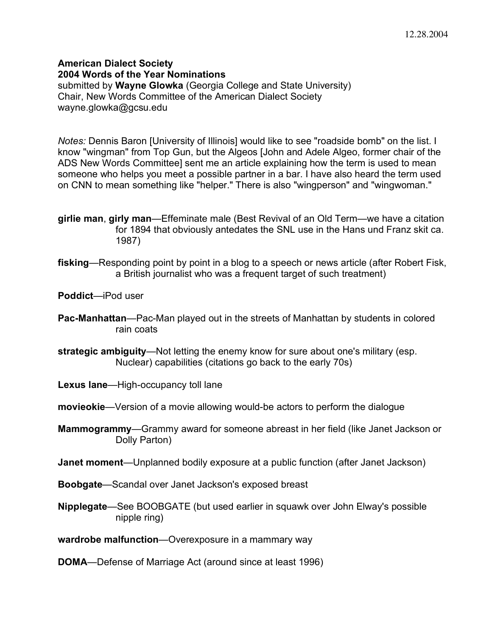**American Dialect Society 2004 Words of the Year Nominations** submitted by **Wayne Glowka** (Georgia College and State University) Chair, New Words Committee of the American Dialect Society wayne.glowka@gcsu.edu

*Notes:* Dennis Baron [University of Illinois] would like to see "roadside bomb" on the list. I know "wingman" from Top Gun, but the Algeos [John and Adele Algeo, former chair of the ADS New Words Committee] sent me an article explaining how the term is used to mean someone who helps you meet a possible partner in a bar. I have also heard the term used on CNN to mean something like "helper." There is also "wingperson" and "wingwoman."

**girlie man**, **girly man**—Effeminate male (Best Revival of an Old Term—we have a citation for 1894 that obviously antedates the SNL use in the Hans und Franz skit ca. 1987)

- **fisking**—Responding point by point in a blog to a speech or news article (after Robert Fisk, a British journalist who was a frequent target of such treatment)
- **Poddict**—iPod user
- **Pac-Manhattan**—Pac-Man played out in the streets of Manhattan by students in colored rain coats
- **strategic ambiguity**—Not letting the enemy know for sure about one's military (esp. Nuclear) capabilities (citations go back to the early 70s)
- **Lexus lane**—High-occupancy toll lane
- **movieokie**—Version of a movie allowing would-be actors to perform the dialogue
- **Mammogrammy**—Grammy award for someone abreast in her field (like Janet Jackson or Dolly Parton)
- **Janet moment**—Unplanned bodily exposure at a public function (after Janet Jackson)
- **Boobgate**—Scandal over Janet Jackson's exposed breast
- **Nipplegate**—See BOOBGATE (but used earlier in squawk over John Elway's possible nipple ring)
- **wardrobe malfunction**—Overexposure in a mammary way

**DOMA**—Defense of Marriage Act (around since at least 1996)